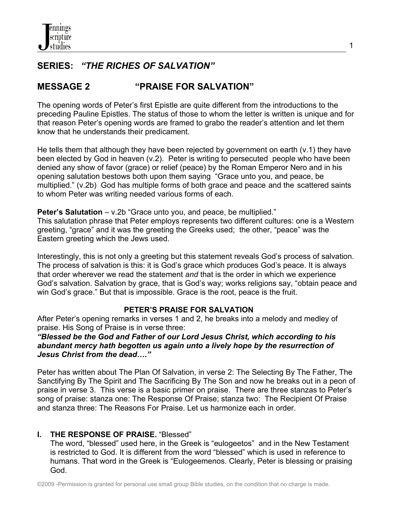## **SERIES:** *"THE RICHES OF SALVATION"*

# **MESSAGE 2 "PRAISE FOR SALVATION"**

The opening words of Peter's first Epistle are quite different from the introductions to the preceding Pauline Epistles. The status of those to whom the letter is written is unique and for that reason Peter's opening words are framed to grabo the reader's attention and let them know that he understands their predicament.

He tells them that although they have been rejected by government on earth (v.1) they have been elected by God in heaven (v.2). Peter is writing to persecuted people who have been denied any show of favor (grace) or relief (peace) by the Roman Emperor Nero and in his opening salutation bestows both upon them saying "Grace unto you, and peace, be multiplied." (v.2b) God has multiple forms of both grace and peace and the scattered saints to whom Peter was writing needed various forms of each.

**Peter's Salutation** – v.2b "Grace unto you, and peace, be multiplied." This salutation phrase that Peter employs represents two different cultures: one is a Western greeting, "grace" and it was the greeting the Greeks used; the other, "peace" was the Eastern greeting which the Jews used.

Interestingly, this is not only a greeting but this statement reveals God's process of salvation. The process of salvation is this: it is God's grace which produces God's peace. It is always that order wherever we read the statement *and* that is the order in which we experience God's salvation. Salvation by grace, that is God's way; works religions say, "obtain peace and win God's grace." But that is impossible. Grace is the root, peace is the fruit.

## **PETER'S PRAISE FOR SALVATION**

After Peter's opening remarks in verses 1 and 2, he breaks into a melody and medley of praise. His Song of Praise is in verse three:

#### *"Blessed be the God and Father of our Lord Jesus Christ, which according to his abundant mercy hath begotten us again unto a lively hope by the resurrection of Jesus Christ from the dead…."*

Peter has written about The Plan Of Salvation, in verse 2: The Selecting By The Father, The Sanctifying By The Spirit and The Sacrificing By The Son and now he breaks out in a peon of praise in verse 3. This verse is a basic primer on praise. There are three stanzas to Peter's song of praise: stanza one: The Response Of Praise; stanza two: The Recipient Of Praise and stanza three: The Reasons For Praise. Let us harmonize each in order.

## **I. THE RESPONSE OF PRAISE.** "Blessed"

 The word, "blessed" used here, in the Greek is "eulogeetos" and in the New Testament is restricted to God. It is different from the word "blessed" which is used in reference to humans. That word in the Greek is "Eulogeemenos. Clearly, Peter is blessing or praising God.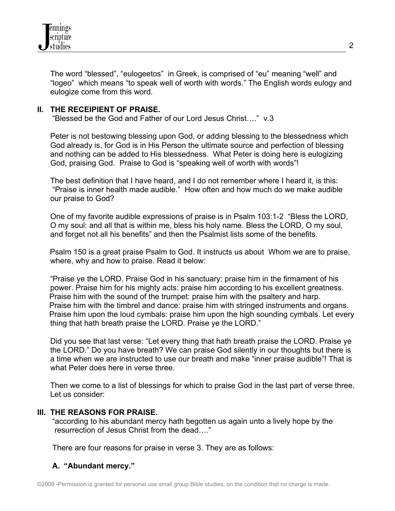

 The word "blessed", "eulogeetos" in Greek, is comprised of "eu" meaning "well" and "logeo" which means "to speak well of worth with words." The English words eulogy and eulogize come from this word.

#### **II. THE RECEIPIENT OF PRAISE.**

"Blessed be the God and Father of our Lord Jesus Christ…." v.3

 Peter is not bestowing blessing upon God, or adding blessing to the blessedness which God already is, for God is in His Person the ultimate source and perfection of blessing and nothing can be added to His blessedness. What Peter is doing here is eulogizing God, praising God. Praise to God is "speaking well of worth with words"!

 The best definition that I have heard, and I do not remember where I heard it, is this: "Praise is inner health made audible." How often and how much do we make audible our praise to God?

 One of my favorite audible expressions of praise is in Psalm 103:1-2 "Bless the LORD, O my soul: and all that is within me, bless his holy name. Bless the LORD, O my soul, and forget not all his benefits" and then the Psalmist lists some of the benefits.

 Psalm 150 is a great praise Psalm to God. It instructs us about Whom we are to praise, where, why and how to praise. Read it below:

 "Praise ye the LORD. Praise God in his sanctuary: praise him in the firmament of his power. Praise him for his mighty acts: praise him according to his excellent greatness. Praise him with the sound of the trumpet: praise him with the psaltery and harp. Praise him with the timbrel and dance: praise him with stringed instruments and organs. Praise him upon the loud cymbals: praise him upon the high sounding cymbals. Let every thing that hath breath praise the LORD. Praise ye the LORD."

 Did you see that last verse: "Let every thing that hath breath praise the LORD. Praise ye the LORD." Do you have breath? We can praise God silently in our thoughts but there is a time when we are instructed to use our breath and make "inner praise audible"! That is what Peter does here in verse three.

 Then we come to a list of blessings for which to praise God in the last part of verse three. Let us consider:

#### **III. THE REASONS FOR PRAISE.**

"according to his abundant mercy hath begotten us again unto a lively hope by the resurrection of Jesus Christ from the dead…."

There are four reasons for praise in verse 3. They are as follows:

#### **A. "Abundant mercy."**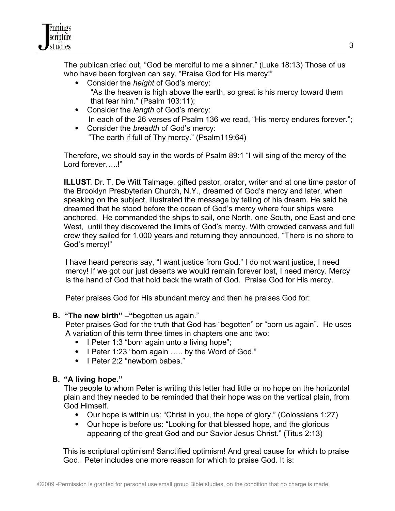The publican cried out, "God be merciful to me a sinner." (Luke 18:13) Those of us who have been forgiven can say, "Praise God for His mercy!"

- Consider the *height* of God's mercy: "As the heaven is high above the earth, so great is his mercy toward them that fear him." (Psalm 103:11);
- Consider the *length* of God's mercy: In each of the 26 verses of Psalm 136 we read, "His mercy endures forever.";
- Consider the *breadth* of God's mercy: "The earth if full of Thy mercy." (Psalm119:64)

Therefore, we should say in the words of Psalm 89:1 "I will sing of the mercy of the Lord forever….!"

**ILLUST**. Dr. T. De Witt Talmage, gifted pastor, orator, writer and at one time pastor of the Brooklyn Presbyterian Church, N.Y., dreamed of God's mercy and later, when speaking on the subject, illustrated the message by telling of his dream. He said he dreamed that he stood before the ocean of God's mercy where four ships were anchored. He commanded the ships to sail, one North, one South, one East and one West, until they discovered the limits of God's mercy. With crowded canvass and full crew they sailed for 1,000 years and returning they announced, "There is no shore to God's mercy!"

 I have heard persons say, "I want justice from God." I do not want justice, I need mercy! If we got our just deserts we would remain forever lost, I need mercy. Mercy is the hand of God that hold back the wrath of God. Praise God for His mercy.

Peter praises God for His abundant mercy and then he praises God for:

**B. "The new birth" –"**begotten us again."

 Peter praises God for the truth that God has "begotten" or "born us again". He uses A variation of this term three times in chapters one and two:

- I Peter 1:3 "born again unto a living hope";
- I Peter 1:23 "born again ..... by the Word of God."
- I Peter 2:2 "newborn babes."

## **B. "A living hope."**

The people to whom Peter is writing this letter had little or no hope on the horizontal plain and they needed to be reminded that their hope was on the vertical plain, from God Himself.

- Our hope is within us: "Christ in you, the hope of glory." (Colossians 1:27)
- Our hope is before us: "Looking for that blessed hope, and the glorious appearing of the great God and our Savior Jesus Christ." (Titus 2:13)

 This is scriptural optimism! Sanctified optimism! And great cause for which to praise God. Peter includes one more reason for which to praise God. It is: